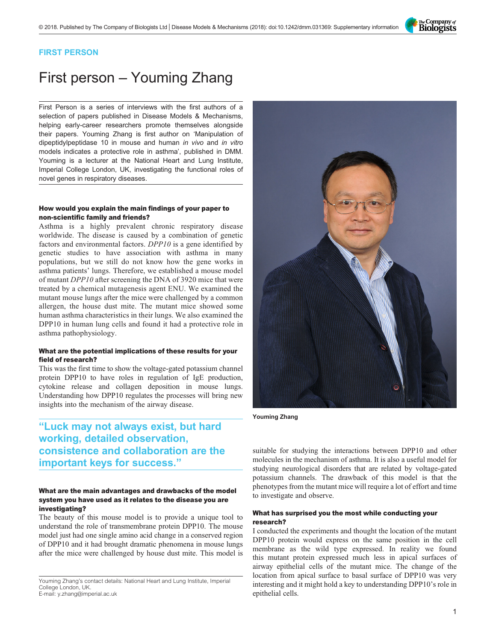

# FIRST PERSON

# First person – Youming Zhang

First Person is a series of interviews with the first authors of a selection of papers published in Disease Models & Mechanisms, helping early-career researchers promote themselves alongside their papers. Youming Zhang is first author on '[Manipulation of](#page-1-0) [dipeptidylpeptidase 10 in mouse and human](#page-1-0) in vivo and in vitro [models indicates a protective role in asthma](#page-1-0)', published in DMM. Youming is a lecturer at the National Heart and Lung Institute, Imperial College London, UK, investigating the functional roles of novel genes in respiratory diseases.

#### How would you explain the main findings of your paper to non-scientific family and friends?

Asthma is a highly prevalent chronic respiratory disease worldwide. The disease is caused by a combination of genetic factors and environmental factors. DPP10 is a gene identified by genetic studies to have association with asthma in many populations, but we still do not know how the gene works in asthma patients' lungs. Therefore, we established a mouse model of mutant DPP10 after screening the DNA of 3920 mice that were treated by a chemical mutagenesis agent ENU. We examined the mutant mouse lungs after the mice were challenged by a common allergen, the house dust mite. The mutant mice showed some human asthma characteristics in their lungs. We also examined the DPP10 in human lung cells and found it had a protective role in asthma pathophysiology.

## What are the potential implications of these results for your field of research?

This was the first time to show the voltage-gated potassium channel protein DPP10 to have roles in regulation of IgE production, cytokine release and collagen deposition in mouse lungs. Understanding how DPP10 regulates the processes will bring new insights into the mechanism of the airway disease.

# "Luck may not always exist, but hard working, detailed observation, consistence and collaboration are the important keys for success."

#### What are the main advantages and drawbacks of the model system you have used as it relates to the disease you are investigating?

The beauty of this mouse model is to provide a unique tool to understand the role of transmembrane protein DPP10. The mouse model just had one single amino acid change in a conserved region of DPP10 and it had brought dramatic phenomena in mouse lungs after the mice were challenged by house dust mite. This model is

Youming Zhang's contact details: National Heart and Lung Institute, Imperial College London, UK. E-mail: [y.zhang@imperial.ac.uk](mailto:y.zhang@imperial.ac.uk)



Youming Zhang

suitable for studying the interactions between DPP10 and other molecules in the mechanism of asthma. It is also a useful model for studying neurological disorders that are related by voltage-gated potassium channels. The drawback of this model is that the phenotypes from the mutant mice will require a lot of effort and time to investigate and observe.

#### What has surprised you the most while conducting your research?

I conducted the experiments and thought the location of the mutant DPP10 protein would express on the same position in the cell membrane as the wild type expressed. In reality we found this mutant protein expressed much less in apical surfaces of airway epithelial cells of the mutant mice. The change of the location from apical surface to basal surface of DPP10 was very interesting and it might hold a key to understanding DPP10's role in epithelial cells.